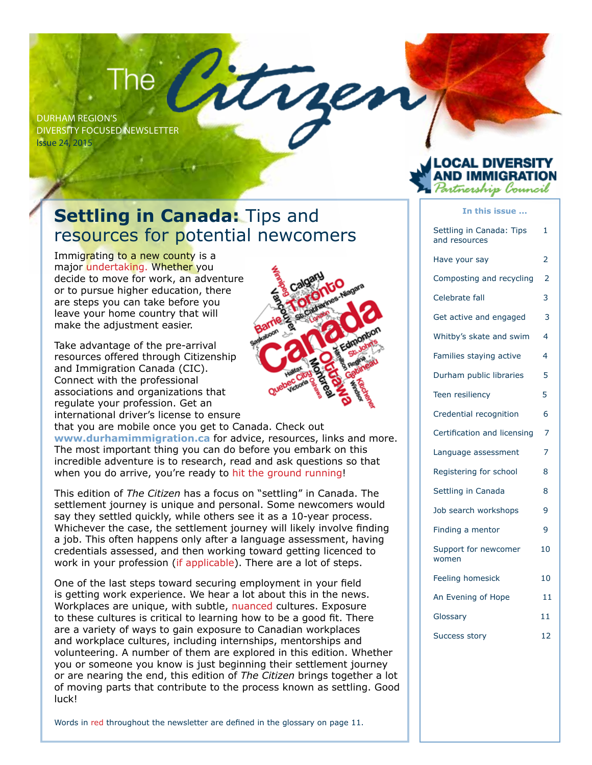## $\mathsf{The}^-$

Durham region's Diversity FocuseD newsletter issue 24, 2015

### **Settling in Canada: Tips and** resources for potential newcomers

Immigrating to a new county is a major undertaking. Whether you decide to move for work, an adventure or to pursue higher education, there are steps you can take before you leave your home country that will make the adjustment easier.

Take advantage of the pre-arrival resources offered through Citizenship and Immigration Canada (CIC). Connect with the professional associations and organizations that regulate your profession. Get an international driver's license to ensure



that you are mobile once you get to Canada. Check out **www.durhamimmigration.ca** for advice, resources, links and more. The most important thing you can do before you embark on this incredible adventure is to research, read and ask questions so that when you do arrive, you're ready to hit the ground running!

This edition of *The Citizen* has a focus on "settling" in Canada. The settlement journey is unique and personal. Some newcomers would say they settled quickly, while others see it as a 10-year process. Whichever the case, the settlement journey will likely involve finding a job. This often happens only after a language assessment, having credentials assessed, and then working toward getting licenced to work in your profession (if applicable). There are a lot of steps.

One of the last steps toward securing employment in your field is getting work experience. We hear a lot about this in the news. Workplaces are unique, with subtle, nuanced cultures. Exposure to these cultures is critical to learning how to be a good fit. There are a variety of ways to gain exposure to Canadian workplaces and workplace cultures, including internships, mentorships and volunteering. A number of them are explored in this edition. Whether you or someone you know is just beginning their settlement journey or are nearing the end, this edition of *The Citizen* brings together a lot of moving parts that contribute to the process known as settling. Good luck!

Words in red throughout the newsletter are defined in the glossary on page 11.

## ñership l'ouncil

**In this issue ...**

| Settling in Canada: Tips<br>and resources | 1              |
|-------------------------------------------|----------------|
| Have your say                             | 2              |
| Composting and recycling                  | $\overline{2}$ |
| Celebrate fall                            | 3              |
| Get active and engaged                    | 3              |
| Whitby's skate and swim                   | 4              |
| Families staying active                   | 4              |
| Durham public libraries                   | 5              |
| Teen resiliency                           | 5              |
| Credential recognition                    | 6              |
| Certification and licensing               | 7              |
| Language assessment                       | $\overline{7}$ |
| Registering for school                    | 8              |
| Settling in Canada                        | 8              |
| Job search workshops                      | 9              |
| Finding a mentor                          | 9              |
| Support for newcomer<br>women             | 10             |
| Feeling homesick                          | 10             |
| An Evening of Hope                        | 11             |
| Glossary                                  | 11             |
| <b>Success story</b>                      | 12             |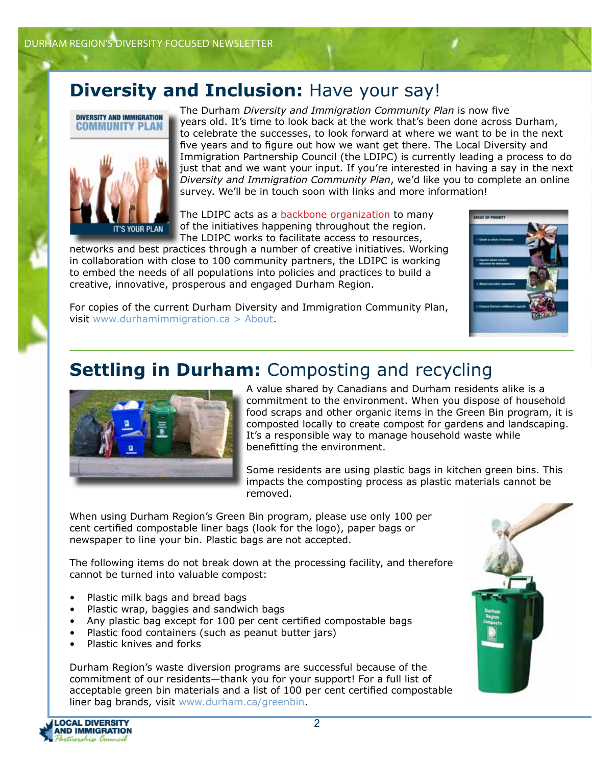## **Diversity and Inclusion:** Have your say!<br>
The Durham *Diversity and Immigration Community Plan* is now five



years old. It's time to look back at the work that's been done across Durham, to celebrate the successes, to look forward at where we want to be in the next five years and to figure out how we want get there. The Local Diversity and Immigration Partnership Council (the LDIPC) is currently leading a process to do just that and we want your input. If you're interested in having a say in the next *Diversity and Immigration Community Plan*, we'd like you to complete an online survey. We'll be in touch soon with links and more information!

The LDIPC acts as a backbone organization to many of the initiatives happening throughout the region. The LDIPC works to facilitate access to resources,

networks and best practices through a number of creative initiatives. Working in collaboration with close to 100 community partners, the LDIPC is working to embed the needs of all populations into policies and practices to build a creative, innovative, prosperous and engaged Durham Region.



For copies of the current Durham Diversity and Immigration Community Plan, visit [www.durhamimmigration.ca](https://www.durhamimmigration.ca/about/community_plan/Pages/default.aspx) > About.

### **Settling in Durham:** Composting and recycling



A value shared by Canadians and Durham residents alike is a commitment to the environment. When you dispose of household food scraps and other organic items in the Green Bin program, it is composted locally to create compost for gardens and landscaping. It's a responsible way to manage household waste while benefitting the environment.

Some residents are using plastic bags in kitchen green bins. This impacts the composting process as plastic materials cannot be removed.

When using Durham Region's Green Bin program, please use only 100 per cent certified compostable liner bags (look for the logo), paper bags or newspaper to line your bin. Plastic bags are not accepted.

The following items do not break down at the processing facility, and therefore cannot be turned into valuable compost:

- Plastic milk bags and bread bags
- Plastic wrap, baggies and sandwich bags
- Any plastic bag except for 100 per cent certified compostable bags
- Plastic food containers (such as peanut butter jars)
- Plastic knives and forks

Durham Region's waste diversion programs are successful because of the commitment of our residents—thank you for your support! For a full list of acceptable green bin materials and a list of 100 per cent certified compostable liner bag brands, visit www.durham.ca/greenbin.

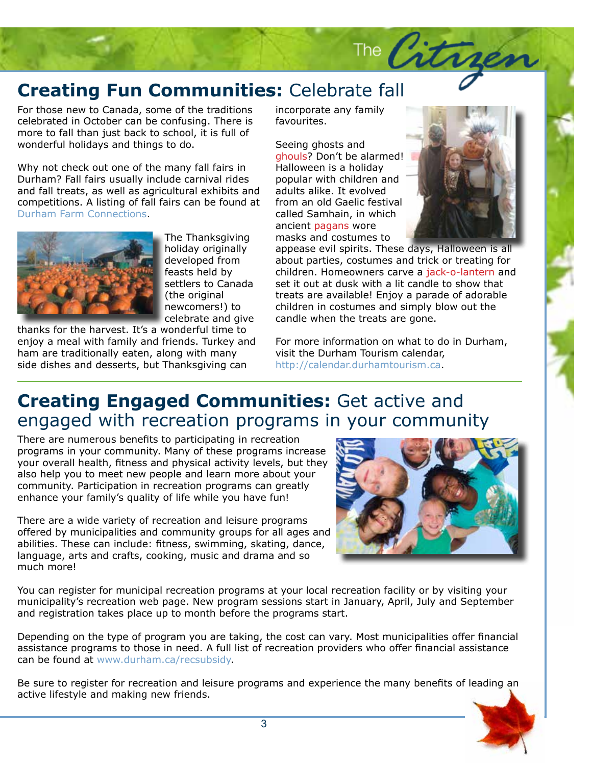# **Creating Fun Communities:** Celebrate fall<br>For those new to Canada, some of the traditions incorporate any family

referenced in occober can be comusing. There is<br>more to fall than just back to school, it is full of<br>wonderful holidays and things to do. For those new to Canada, some of the traditions celebrated in October can be confusing. There is wonderful holidays and things to do.

Why not check out one of the many fall fairs in Durham? Fall fairs usually include carnival rides and fall treats, as well as agricultural exhibits and competitions. A listing of fall fairs can be found at [Durham Farm Connections.](http://durhamfarmconnections.ca/)



The Thanksgiving holiday originally developed from feasts held by settlers to Canada (the original newcomers!) to celebrate and give

thanks for the harvest. It's a wonderful time to enjoy a meal with family and friends. Turkey and ham are traditionally eaten, along with many side dishes and desserts, but Thanksgiving can

incorporate any family favourites.

Seeing ghosts and ghouls? Don't be alarmed! Halloween is a holiday popular with children and adults alike. It evolved from an old Gaelic festival called Samhain, in which ancient pagans wore masks and costumes to



th a lit candle to show that<br>Enjoy a parade of adorable<br>s and simply blow out the appease evil spirits. These days, Halloween is all about parties, costumes and trick or treating for children. Homeowners carve a jack-o-lantern and set it out at dusk with a lit candle to show that treats are available! Enjoy a parade of adorable children in costumes and simply blow out the candle when the treats are gone.

The City

canuie when the treats are gone.<br>For more information on what to do in Durham, visit the Durham Tourism calendar, http://calendar.durhamtourism.ca.

### **Creating Engaged Communities:** Get active and engaged with recreation programs in your community

There are numerous benefits to participating in recreation programs in your community. Many of these programs increase your overall health, fitness and physical activity levels, but they also help you to meet new people and learn more about your community. Participation in recreation programs can greatly enhance your family's quality of life while you have fun!

There are a wide variety of recreation and leisure programs offered by municipalities and community groups for all ages and abilities. These can include: fitness, swimming, skating, dance, language, arts and crafts, cooking, music and drama and so much more!



You can register for municipal recreation programs at your local recreation facility or by visiting your municipality's recreation web page. New program sessions start in January, April, July and September and registration takes place up to month before the programs start.

Depending on the type of program you are taking, the cost can vary. Most municipalities offer financial assistance programs to those in need. A full list of recreation providers who offer financial assistance can be found at www.durham.ca/recsubsidy.

Be sure to register for recreation and leisure programs and experience the many benefits of leading an active lifestyle and making new friends.

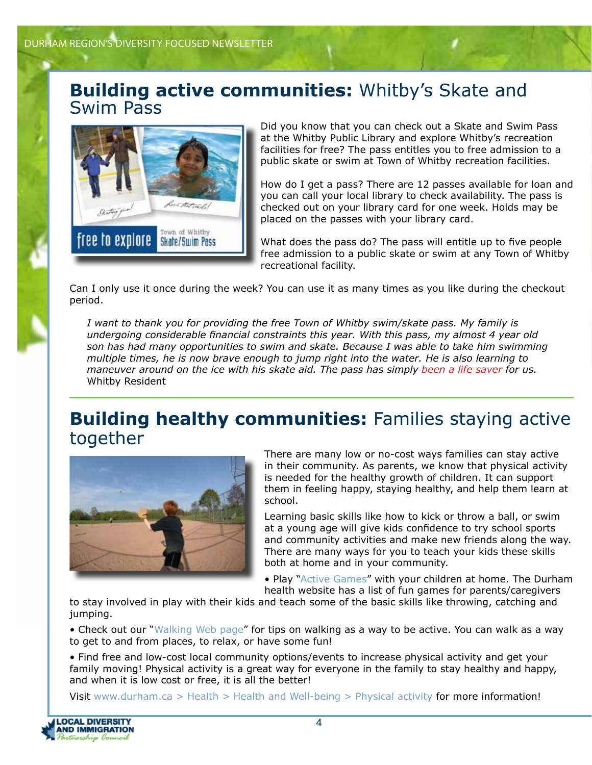### **Building active communities:** Whitby's Skate and Swim Pass



Did you know that you can check out a Skate and Swim Pass at the Whitby Public Library and explore Whitby's recreation facilities for free? The pass entitles you to free admission to a public skate or swim at Town of Whitby recreation facilities.

How do I get a pass? There are 12 passes available for loan and you can call your local library to check availability. The pass is checked out on your library card for one week. Holds may be placed on the passes with your library card.

What does the pass do? The pass will entitle up to five people free admission to a public skate or swim at any Town of Whitby recreational facility.

Can I only use it once during the week? You can use it as many times as you like during the checkout period.

*I want to thank you for providing the free Town of Whitby swim/skate pass. My family is undergoing considerable financial constraints this year. With this pass, my almost 4 year old son has had many opportunities to swim and skate. Because I was able to take him swimming multiple times, he is now brave enough to jump right into the water. He is also learning to maneuver around on the ice with his skate aid. The pass has simply been a life saver for us.* Whitby Resident

### **Building healthy communities:** Families staying active together



There are many low or no-cost ways families can stay active in their community. As parents, we know that physical activity is needed for the healthy growth of children. It can support them in feeling happy, staying healthy, and help them learn at school.

Learning basic skills like how to kick or throw a ball, or swim at a young age will give kids confidence to try school sports and community activities and make new friends along the way. There are many ways for you to teach your kids these skills both at home and in your community.

• Play "[Active Games](http://www.durham.ca/health.asp?nr=/departments/health/physical_activity/activegames.htm&setFooter=/includes/health/paFooter.inc)" with your children at home. The Durham health website has a list of fun games for parents/caregivers

to stay involved in play with their kids and teach some of the basic skills like throwing, catching and jumping.

• Check out our "[Walking Web page](http://www.durham.ca/health.asp?nr=/departments/health/physical_activity/walking/walking_index.htm&setFooter=/includes/health/paWalkingFooter.inc)" for tips on walking as a way to be active. You can walk as a way to get to and from places, to relax, or have some fun!

• Find free and low-cost local community options/events to increase physical activity and get your family moving! Physical activity is a great way for everyone in the family to stay healthy and happy, and when it is low cost or free, it is all the better!

Visit [www.durham.ca > Health > Health and Well-being > Physical activity](http://www.durham.ca/health.asp?nr=/departments/health/physical_activity/index.htm&setFooter=/includes/health/paFooter.inc) for more information!

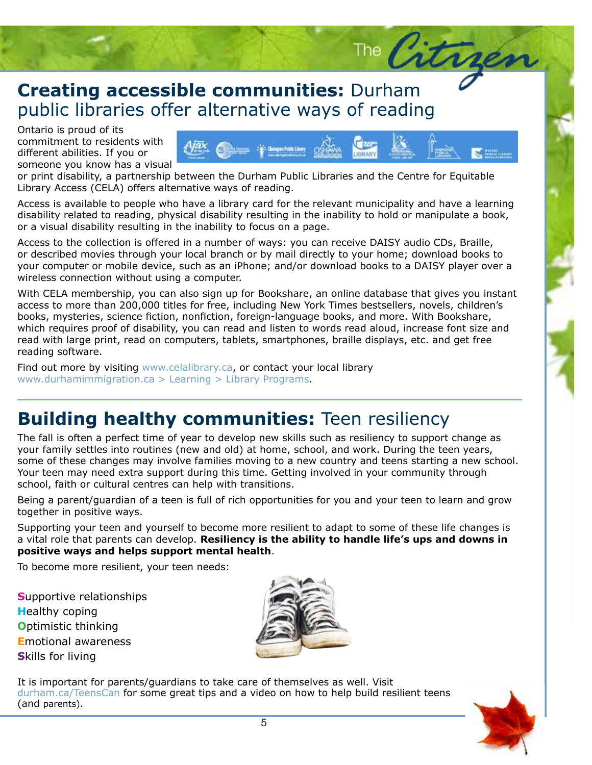### **Creating accessible communities:** Durham<br>public libraries offer alternative ways of reading **Creating accessible communities:** Durham

Ontario is proud of its<br>commitment to residents with Ontario is proud of its different abilities. If you or someone you know has a visual



The Citra

or print disability, a partnership between the Durham Public Libraries and the Centre for Equitable Library Access (CELA) offers alternative ways of reading.

Access is available to people who have a library card for the relevant municipality and have a learning disability related to reading, physical disability resulting in the inability to hold or manipulate a book, or a visual disability resulting in the inability to focus on a page.

Access to the collection is offered in a number of ways: you can receive DAISY audio CDs, Braille, or described movies through your local branch or by mail directly to your home; download books to your computer or mobile device, such as an iPhone; and/or download books to a DAISY player over a wireless connection without using a computer.

atabase that gives you instant<br>stsellers, novels, children's<br>. books, mystemes, science netion, nonifetion, foreign language books, and more. With bookshare,<br>which requires proof of disability, you can read and listen to words read aloud, increase font size and<br>read with large print, With CELA membership, you can also sign up for Bookshare, an online database that gives you instant access to more than 200,000 titles for free, including New York Times bestsellers, novels, children's books, mysteries, science fiction, nonfiction, foreign-language books, and more. With Bookshare, read with large print, read on computers, tablets, smartphones, braille displays, etc. and get free reading software.

Find out more by visiting www.celalibrary.ca, or contact your local library [www.durhamimmigration.ca > Learning > Library Programs](https://www.durhamimmigration.ca/learning/Pages/LibraryPrograms.aspx).

### **Building healthy communities:** Teen resiliency

The fall is often a perfect time of year to develop new skills such as resiliency to support change as your family settles into routines (new and old) at home, school, and work. During the teen years, some of these changes may involve families moving to a new country and teens starting a new school. Your teen may need extra support during this time. Getting involved in your community through school, faith or cultural centres can help with transitions.

Being a parent/guardian of a teen is full of rich opportunities for you and your teen to learn and grow together in positive ways.

Supporting your teen and yourself to become more resilient to adapt to some of these life changes is a vital role that parents can develop. **Resiliency is the ability to handle life's ups and downs in positive ways and helps support mental health**.

To become more resilient, your teen needs:

**S**upportive relationships **H**ealthy coping **O**ptimistic thinking **E**motional awareness **S**kills for living



It is important for parents/guardians to take care of themselves as well. Visit [durham.ca/TeensCan](http://www.durham.ca/health.asp?nr=/departments/health/mentalHealth/teenscan/index.htm&setFooter=/includes/health/healthFooterTeensCan.inc) for some great tips and a video on how to help build resilient teens (and parents).

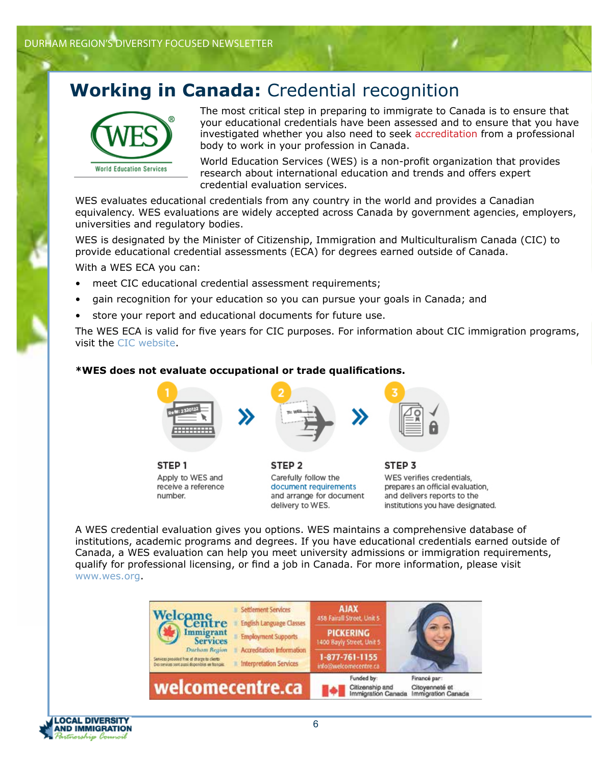### **Working in Canada:** Credential recognition



The most critical step in preparing to immigrate to Canada is to ensure that your educational credentials have been assessed and to ensure that you have investigated whether you also need to seek accreditation from a professional body to work in your profession in Canada.

World Education Services (WES) is a non-profit organization that provides research about international education and trends and offers expert credential evaluation services.

WES evaluates educational credentials from any country in the world and provides a Canadian equivalency. WES evaluations are widely accepted across Canada by government agencies, employers, universities and regulatory bodies.

WES is designated by the Minister of Citizenship, Immigration and Multiculturalism Canada (CIC) to provide educational credential assessments (ECA) for degrees earned outside of Canada.

With a WES ECA you can:

- meet CIC educational credential assessment requirements;
- gain recognition for your education so you can pursue your goals in Canada; and
- store your report and educational documents for future use.

The WES ECA is valid for five years for CIC purposes. For information about CIC immigration programs, visit the [CIC website.](http://www.cic.gc.ca)

#### **\*WES does not evaluate occupational or trade qualifications.**



STEP<sub>1</sub> Apply to WES and receive a reference number.



STEP<sub>2</sub> Carefully follow the document requirements and arrange for document delivery to WES.



STEP<sub>3</sub> WES verifies credentials. prepares an official evaluation, and delivers reports to the institutions you have designated.

A WES credential evaluation gives you options. WES maintains a comprehensive database of institutions, academic programs and degrees. If you have educational credentials earned outside of Canada, a WES evaluation can help you meet university admissions or immigration requirements, qualify for professional licensing, or find a job in Canada. For more information, please visit www.wes.org.



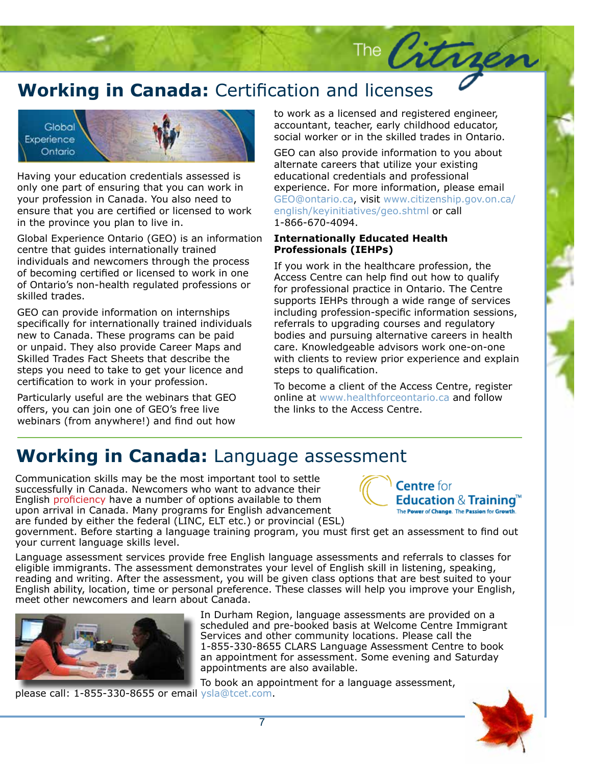### **Working in Canada:** Certification and licenses



Having your education credentials assessed is only one part of ensuring that you can work in your profession in Canada. You also need to ensure that you are certified or licensed to work in the province you plan to live in.

Global Experience Ontario (GEO) is an information centre that guides internationally trained individuals and newcomers through the process of becoming certified or licensed to work in one of Ontario's non-health regulated professions or skilled trades.

GEO can provide information on internships specifically for internationally trained individuals new to Canada. These programs can be paid or unpaid. They also provide Career Maps and Skilled Trades Fact Sheets that describe the steps you need to take to get your licence and certification to work in your profession.

Particularly useful are the webinars that GEO offers, you can join one of GEO's free live webinars (from anywhere!) and find out how to work as a licensed and registered engineer, accountant, teacher, early childhood educator, social worker or in the skilled trades in Ontario.

The Citries

GEO can also provide information to you about alternate careers that utilize your existing educational credentials and professional experience. For more information, please email GEO@ontario.ca, visit www.citizenship.gov.on.ca/ english/keyinitiatives/geo.shtml or call 1-866-670-4094.

#### **Internationally Educated Health Professionals (IEHPs)**

If you work in the healthcare profession, the Access Centre can help find out how to qualify for professional practice in Ontario. The Centre supports IEHPs through a wide range of services including profession-specific information sessions, referrals to upgrading courses and regulatory bodies and pursuing alternative careers in health care. Knowledgeable advisors work one-on-one with clients to review prior experience and explain steps to qualification.

To become a client of the Access Centre, register online at www.healthforceontario.ca and follow the links to the Access Centre.

### **Working in Canada:** Language assessment

Communication skills may be the most important tool to settle successfully in Canada. Newcomers who want to advance their English proficiency have a number of options available to them upon arrival in Canada. Many programs for English advancement are funded by either the federal (LINC, ELT etc.) or provincial (ESL)



#### **Centre** for **Education & Training"** The Power of Change. The Passion for Growth.

government. Before starting a language training program, you must first get an assessment to find out your current language skills level.

Language assessment services provide free English language assessments and referrals to classes for eligible immigrants. The assessment demonstrates your level of English skill in listening, speaking, reading and writing. After the assessment, you will be given class options that are best suited to your English ability, location, time or personal preference. These classes will help you improve your English, meet other newcomers and learn about Canada.



In Durham Region, language assessments are provided on a scheduled and pre-booked basis at Welcome Centre Immigrant Services and other community locations. Please call the 1-855-330-8655 CLARS Language Assessment Centre to book an appointment for assessment. Some evening and Saturday appointments are also available.

To book an appointment for a language assessment,



please call: 1-855-330-8655 or email ysla@tcet.com.

7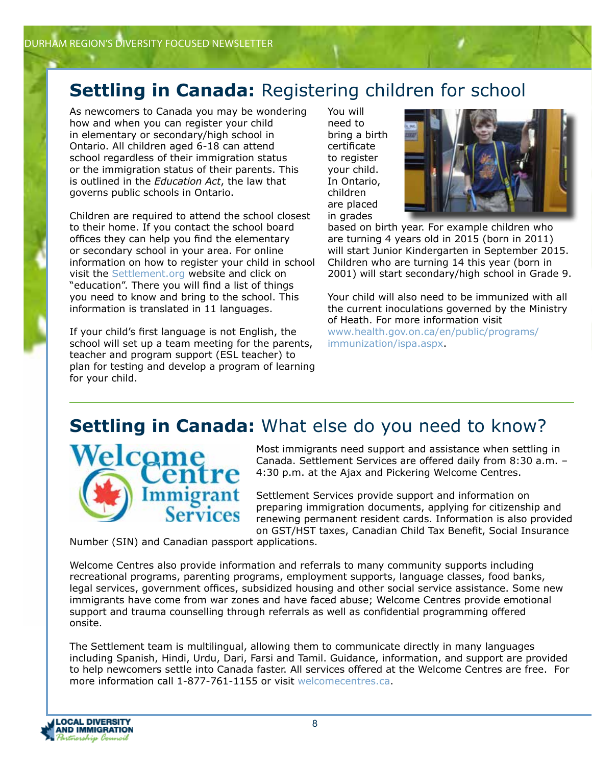### **Settling in Canada:** Registering children for school

As newcomers to Canada you may be wondering how and when you can register your child in elementary or secondary/high school in Ontario. All children aged 6-18 can attend school regardless of their immigration status or the immigration status of their parents. This is outlined in the *Education Act*, the law that governs public schools in Ontario.

Children are required to attend the school closest to their home. If you contact the school board offices they can help you find the elementary or secondary school in your area. For online information on how to register your child in school visit the [Settlement.org](http://www.settlement.org) website and click on "education". There you will find a list of things you need to know and bring to the school. This information is translated in 11 languages.

If your child's first language is not English, the school will set up a team meeting for the parents, teacher and program support (ESL teacher) to plan for testing and develop a program of learning for your child.

You will need to bring a birth certificate to register your child. In Ontario, children are placed in grades



based on birth year. For example children who are turning 4 years old in 2015 (born in 2011) will start Junior Kindergarten in September 2015. Children who are turning 14 this year (born in 2001) will start secondary/high school in Grade 9.

Your child will also need to be immunized with all the current inoculations governed by the Ministry of Heath. For more information visit [www.health.gov.on.ca/en/public/programs/](http://www.health.gov.on.ca/en/public/programs/immunization/) immunization/ispa.aspx.

### **Settling in Canada:** What else do you need to know?



Most immigrants need support and assistance when settling in Canada. Settlement Services are offered daily from 8:30 a.m. – 4:30 p.m. at the Ajax and Pickering Welcome Centres.

Settlement Services provide support and information on preparing immigration documents, applying for citizenship and renewing permanent resident cards. Information is also provided on GST/HST taxes, Canadian Child Tax Benefit, Social Insurance

Number (SIN) and Canadian passport applications.

Welcome Centres also provide information and referrals to many community supports including recreational programs, parenting programs, employment supports, language classes, food banks, legal services, government offices, subsidized housing and other social service assistance. Some new immigrants have come from war zones and have faced abuse; Welcome Centres provide emotional support and trauma counselling through referrals as well as confidential programming offered onsite.

The Settlement team is multilingual, allowing them to communicate directly in many languages including Spanish, Hindi, Urdu, Dari, Farsi and Tamil. Guidance, information, and support are provided to help newcomers settle into Canada faster. All services offered at the Welcome Centres are free. For more information call 1-877-761-1155 or visit [welcomecentres.ca.](http://www.welcomecentres.ca)

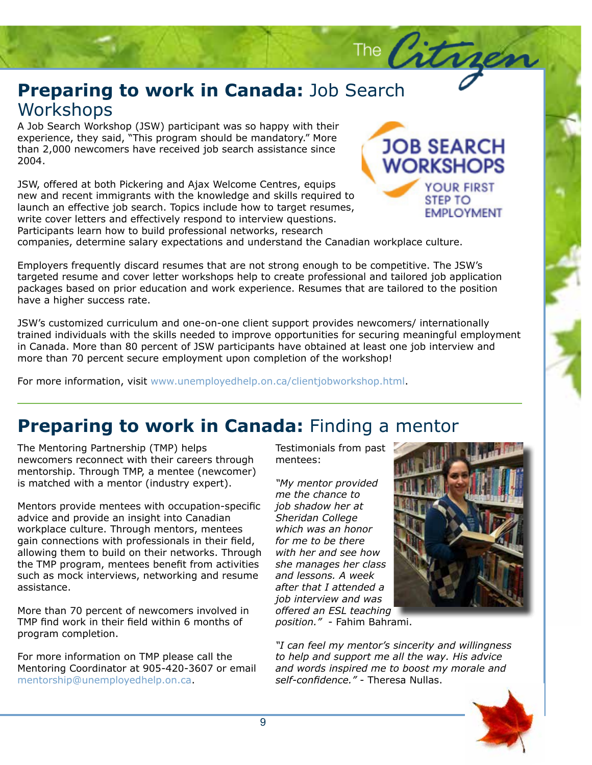### **Preparing to work in Canada:** Job Search<br>Workshops **Workshops**

A Job Search Workshop (JSW) participant was so happy with their<br>experience, they said, "This program should be mandatory." More<br>...  $S$ uspe $i$ A Job Search Workshop (JSW) participant was so happy with their than 2,000 newcomers have received job search assistance since 2004.

JSW, offered at both Pickering and Ajax Welcome Centres, equips new and recent immigrants with the knowledge and skills required to launch an effective job search. Topics include how to target resumes, mice cover retters and enectively respond to mee view question<br>Participants learn how to build professional networks, research write cover letters and effectively respond to interview questions.



The Citrges

companies, determine salary expectations and understand the Canadian workplace culture.

packages based on prior education and work experience. Resumes that are tailored to the position<br>have a higher success rate. Employers frequently discard resumes that are not strong enough to be competitive. The JSW's targeted resume and cover letter workshops help to create professional and tailored job application have a higher success rate.

JSW's customized curriculum and one-on-one client support provides newcomers/ internationally<br>trained individuals with the skills needed to improve opportunities for securing meaningful employment JSW's customized curriculum and one-on-one client support provides newcomers/ internationally in Canada. More than 80 percent of JSW participants have obtained at least one job interview and more than 70 percent secure employment upon completion of the workshop!

For more information, visit www.unemployedhelp.on.ca/clientjobworkshop.html.

### **Preparing to work in Canada:** Finding a mentor

The Mentoring Partnership (TMP) helps newcomers reconnect with their careers through mentorship. Through TMP, a mentee (newcomer) is matched with a mentor (industry expert).

Mentors provide mentees with occupation-specific advice and provide an insight into Canadian workplace culture. Through mentors, mentees gain connections with professionals in their field, allowing them to build on their networks. Through the TMP program, mentees benefit from activities such as mock interviews, networking and resume assistance.

More than 70 percent of newcomers involved in TMP find work in their field within 6 months of program completion.

For more information on TMP please call the Mentoring Coordinator at 905-420-3607 or email mentorship@unemployedhelp.on.ca.

Testimonials from past mentees:

*"My mentor provided me the chance to job shadow her at Sheridan College which was an honor for me to be there with her and see how she manages her class and lessons. A week after that I attended a job interview and was offered an ESL teaching* 



*position."* - Fahim Bahrami.

*"I can feel my mentor's sincerity and willingness to help and support me all the way. His advice and words inspired me to boost my morale and self-confidence."* - Theresa Nullas.

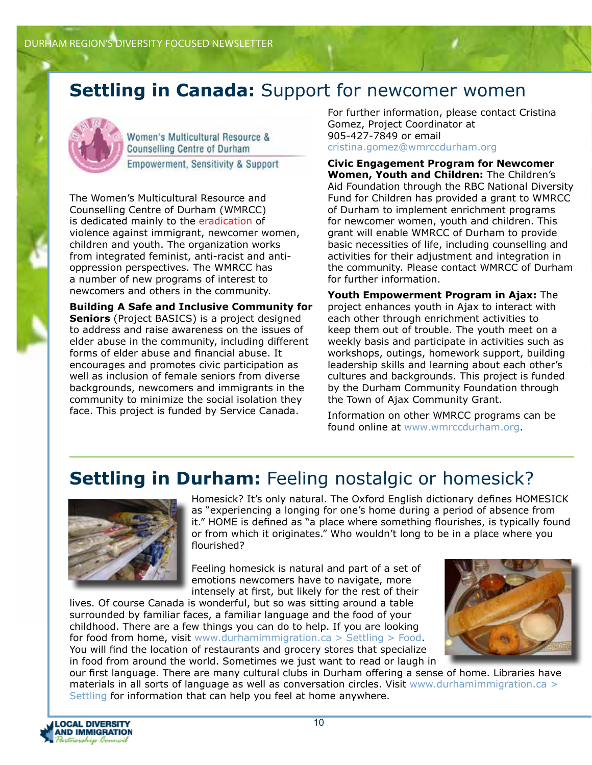### **Settling in Canada: Support for newcomer women**



Women's Multicultural Resource & **Counselling Centre of Durham** Empowerment, Sensitivity & Support

The Women's Multicultural Resource and Counselling Centre of Durham (WMRCC) is dedicated mainly to the eradication of violence against immigrant, newcomer women, children and youth. The organization works from integrated feminist, anti-racist and antioppression perspectives. The WMRCC has a number of new programs of interest to newcomers and others in the community.

**Building A Safe and Inclusive Community for Seniors** (Project BASICS) is a project designed to address and raise awareness on the issues of elder abuse in the community, including different forms of elder abuse and financial abuse. It encourages and promotes civic participation as well as inclusion of female seniors from diverse backgrounds, newcomers and immigrants in the community to minimize the social isolation they face. This project is funded by Service Canada.

For further information, please contact Cristina Gomez, Project Coordinator at 905-427-7849 or email cristina.gomez@wmrccdurham.org

**Civic Engagement Program for Newcomer Women, Youth and Children:** The Children's Aid Foundation through the RBC National Diversity Fund for Children has provided a grant to WMRCC of Durham to implement enrichment programs for newcomer women, youth and children. This grant will enable WMRCC of Durham to provide basic necessities of life, including counselling and activities for their adjustment and integration in the community. Please contact WMRCC of Durham for further information.

**Youth Empowerment Program in Ajax:** The project enhances youth in Ajax to interact with each other through enrichment activities to keep them out of trouble. The youth meet on a weekly basis and participate in activities such as workshops, outings, homework support, building leadership skills and learning about each other's cultures and backgrounds. This project is funded by the Durham Community Foundation through the Town of Ajax Community Grant.

Information on other WMRCC programs can be found online at www.wmrccdurham.org.

### **Settling in Durham:** Feeling nostalgic or homesick?



Homesick? It's only natural. The Oxford English dictionary defines HOMESICK as "experiencing a longing for one's home during a period of absence from it." HOME is defined as "a place where something flourishes, is typically found or from which it originates." Who wouldn't long to be in a place where you flourished?

Feeling homesick is natural and part of a set of emotions newcomers have to navigate, more intensely at first, but likely for the rest of their

lives. Of course Canada is wonderful, but so was sitting around a table surrounded by familiar faces, a familiar language and the food of your childhood. There are a few things you can do to help. If you are looking for food from home, visit www.durhamimmigration.ca > Settling > Food. You will find the location of restaurants and grocery stores that specialize in food from around the world. Sometimes we just want to read or laugh in



our first language. There are many cultural clubs in Durham offering a sense of home. Libraries have materials in all sorts of language as well as conversation circles. Visit www.durhamimmigration.ca > Settling for information that can help you feel at home anywhere.

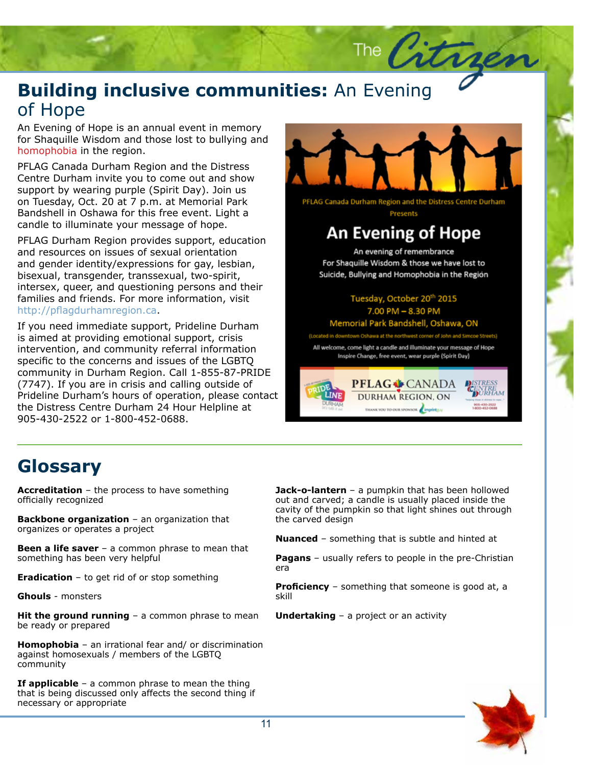### **Building inclusive communities:** An Evening<br>of Hope of Hope

An Evening of Hope is an annual event in memory<br>for Shaquille Wisdom and those lost to bullying and homophobia in the region. An Evening of Hope is an annual event in memory

PFLAG Canada Durham Region and the Distress sum. Burnam more you to come out and show<br>support by wearing purple (Spirit Day). Join us on Tuesday, Oct. 20 at 7 p.m. at Memorial Park Bandshell in Oshawa for this free event. Light a candle to illuminate your message of hope. Centre Durham invite you to come out and show

PFLAG Durham Region provides support, education and resources on issues of sexual orientation and gender identity/expressions for gay, lesbian, bisexual, transgender, transsexual, two-spirit, med. Sex, queer, and questioning persons and their<br>families and friends. For more information, visit nexume id in the term in the contraction, then the internation of the setting of the setting. intersex, queer, and questioning persons and their

If you need immediate support, Prideline Durham is aimed at providing emotional support, crisis intervention, and community referral information specific to the concerns and issues of the LGBTQ community in Durham Region. Call 1-855-87-PRIDE (7747). If you are in crisis and calling outside of Prideline Durham's hours of operation, please contact the Distress Centre Durham 24 Hour Helpline at 905-430-2522 or 1-800-452-0688.



The Citra

PFLAG Canada Durham Region and the Distress Centre Durham Presents

### **An Evening of Hope**

An evening of remembrance For Shaquille Wisdom & those we have lost to Suicide, Bullying and Homophobia in the Region

> Tuesday, October 20th 2015 7.00 PM - 8.30 PM

Memorial Park Bandshell, Oshawa, ON

m Oshawa at the northwest corner of John and Simo

All welcome, come light a candle and illuminate your message of Hope Inspire Change, free event, wear purple (Spirit Day)



### **Glossary**

**Accreditation** – the process to have something officially recognized

**Backbone organization** – an organization that organizes or operates a project

**Been a life saver** – a common phrase to mean that something has been very helpful

**Eradication** – to get rid of or stop something

**Ghouls** - monsters

**Hit the ground running** - a common phrase to mean be ready or prepared

**Homophobia** – an irrational fear and/ or discrimination against homosexuals / members of the LGBTQ community

**If applicable** – a common phrase to mean the thing that is being discussed only affects the second thing if necessary or appropriate

**Jack-o-lantern** – a pumpkin that has been hollowed out and carved; a candle is usually placed inside the cavity of the pumpkin so that light shines out through the carved design

**Nuanced** – something that is subtle and hinted at

**Pagans** – usually refers to people in the pre-Christian era

**Proficiency** – something that someone is good at, a skill

**Undertaking** – a project or an activity